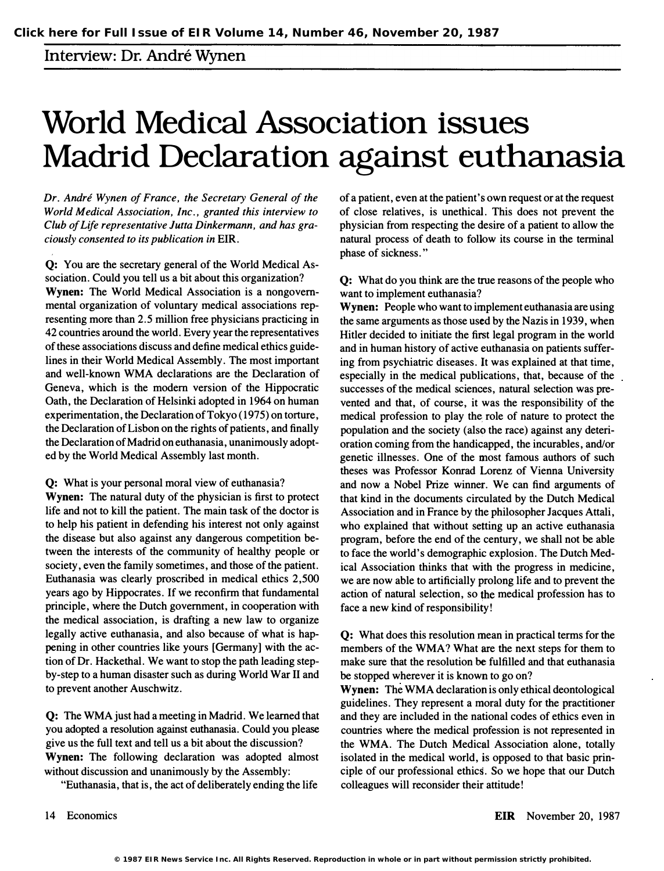## Interview: Dr. Andre Wynen

## World Medical Association issues Madrid Declaration against euthanasia

Dr. André Wynen of France, the Secretary General of the World Medical Association, Inc., granted this interview to Club of Life representative Jutta Dinkermann, and has graciously consented to its publication in EIR.

Q: You are the secretary general of the World Medical Association. Could you tell us a bit about this organization? Wynen: The World Medical Association is a nongovernmental organization of voluntary medical associations representing more than 2.5 million free physicians practicing in 42 countries around the world. Every year the representatives of these associations discuss and define medical ethics guidelines in their World Medical Assembly. The most important and well-known WMA declarations are the Declaration of Geneva, which is the modem version of the Hippocratic Oath, the Declaration of Helsinki adopted in 1964 on human experimentation, the Declaration of Tokyo (1975) on torture, the Declaration of Lisbon on the rights of patients, and finally the Declaration of Madrid on euthanasia, unanimously adopted by the World Medical Assembly last month.

Q: What is your personal moral view of euthanasia?

Wynen: The natural duty of the physician is first to protect life and not to kill the patient. The main task of the doctor is to help his patient in defending his interest not only against the disease but also against any dangerous competition between the interests of the community of healthy people or society, even the family sometimes, and those of the patient. Euthanasia was clearly proscribed in medical ethics 2,500 years ago by Hippocrates. If we reconfirm that fundamental principle, where the Dutch government, in cooperation with the medical association, is drafting a new law to organize legally active euthanasia, and also because of what is happening in other countries like yours [Germany] with the action of Dr. Hackethal. We want to stop the path leading stepby-step to a human disaster such as during World War II and to prevent another Auschwitz.

Q: The WMA just had a meeting in Madrid. We learned that you adopted a resolution against euthanasia. Could you please give us the full text and tell us a bit about the discussion? Wynen: The following declaration was adopted almost without discussion and unanimously by the Assembly:

"Euthanasia, that is, the act of deliberately ending the life

of a patient, even at the patient's own request or at the request of close relatives, is unethical. This does not prevent the physician from respecting the desire of a patient to allow the natural process of death to follow its course in the terminal phase of sickness. "

Q: What do you think are the true reasons of the people who want to implement euthanasia?

Wynen: People who want to implement euthanasia are using the same arguments as those used by the Nazis in 1939, when Hitler decided to initiate the first legal program in the world and in human history of active euthanasia on patients suffering from psychiatric diseases. It was explained at that time, especially in the medical publications, that, because of the successes of the medical sciences, natural selection was prevented and that, of course, it was the responsibility of the medical profession to play the role of nature to protect the population and the society (also the race) against any deterioration coming from the handicapped, the incurables, and/or genetic illnesses. One of the most famous authors of such theses was Professor Konrad Lorenz of Vienna University and now a Nobel Prize winner. We can find arguments of that kind in the documents circulated by the Dutch Medical Association and in France by the philosopher Jacques Attali, who explained that without setting up an active euthanasia program, before the end of the century, we shall not be able to face the world's demographic explosion. The Dutch Medical Association thinks that with the progress in medicine, we are now able to artificially prolong life and to prevent the action of natural selection, so the medical profession has to face a new kind of responsibility!

Q: What does this resolution mean in practical terms for the members of the WMA? What are the next steps for them to make sure that the resolution be fulfilled and that euthanasia be stopped wherever it is known to go on?

Wynen: The WMA declaration is only ethical deontological guidelines. They represent a moral duty for the practitioner and they are included in the national codes of ethics even in countries where the medical profession is not represented in the WMA. The Dutch Medical Association alone, totally isolated in the medical world, is opposed to that basic principle of our professional ethics. So we hope that our Dutch colleagues will reconsider their attitude!

14 Economics

EIR November 20, 1987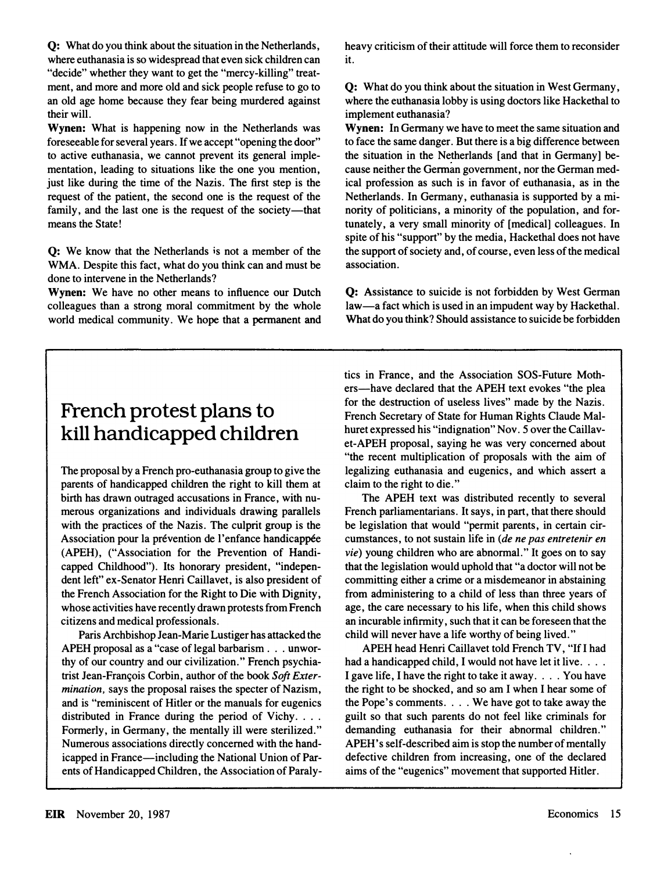Q: What do you think about the situation in the Netherlands, where euthanasia is so widespread that even sick children can "decide" whether they want to get the "mercy-killing" treatment, and more and more old and sick people refuse to go to an old age home because they fear being murdered against their will.

Wynen: What is happening now in the Netherlands was foreseeable for several years. If we accept "opening the door" to active euthanasia, we cannot prevent its general implementation, leading to situations like the one you mention, just like during the time of the Nazis. The first step is the request of the patient, the second one is the request of the family, and the last one is the request of the society-that means the State!

Q: We know that the Netherlands is not a member of the WMA. Despite this fact, what do you think can and must be done to intervene in the Netherlands?

Wynen: We have no other means to influence our Dutch colleagues than a strong moral commitment by the whole world medical community. We hope that a permanent and heavy criticism of their attitude will force them to reconsider it.

Q: What do you think about the situation in West Germany, where the euthanasia lobby is using doctors like Hackethal to implement euthanasia?

Wynen: In Germany we have to meet the same situation and to face the same danger. But there is a big difference between the situation in the Netherlands [and that in Germany] because neither the German government, nor the German medical profession as such is in favor of euthanasia, as in the Netherlands. In Germany, euthanasia is supported by a minority of politicians, a minority of the population, and fortunately, a very small minority of [medical] colleagues. In spite of his "support" by the media, Hackethal does not have the support of society and, of course, even less of the medical association.

Q: Assistance to suicide is not forbidden by West German law-a fact which is used in an impudent way by Hackethal. What do you think? Should assistance to suicide be forbidden

## French protest plans to kill handicapped children

The proposal by a French pro-euthanasia group to give the parents of handicapped children the right to kill them at birth has drawn outraged accusations in France, with numerous organizations and individuals drawing parallels with the practices of the Nazis. The culprit group is the Association pour la prévention de l'enfance handicappée (APEH), ("Association for the Prevention of Handicapped Childhood"). Its honorary president, "independent left" ex-Senator Henri Caillavet, is also president of the French Association for the Right to Die with Dignity, whose activities have recently drawn protests from French citizens and medical professionals.

Paris Archbishop Jean-Marie Lustiger has attacked the APEH proposal as a "case of legal barbarism . . . unworthy of our country and our civilization." French psychiatrist Jean-François Corbin, author of the book Soft Extermination, says the proposal raises the specter of Nazism, and is "reminiscent of Hitler or the manuals for eugenics distributed in France during the period of Vichy. . . . Formerly, in Germany, the mentally ill were sterilized." Numerous associations directly concerned with the handicapped in France—including the National Union of Parents of Handicapped Children, the Association of Paraly-

tics in France, and the Association SOS-Future Mothers-have declared that the APEH text evokes "the plea for the destruction of useless lives" made by the Nazis. French Secretary of State for Human Rights Claude Malhuret expressed his "indignation" Nov. 5 over the Caillavet-APEH proposal, saying he was very concerned about "the recent multiplication of proposals with the aim of legalizing euthanasia and eugenics, and which assert a claim to the right to die. "

The APEH text was distributed recently to several French parliamentarians. It says, in part, that there should be legislation that would "permit parents, in certain circumstances, to not sustain life in (de ne pas entretenir en vie) young children who are abnormal." It goes on to say that the legislation would uphold that "a doctor will not be committing either a crime or a misdemeanor in abstaining from administering to a child of less than three years of age, the care necessary to his life, when this child shows an incurable infirmity, such that it can be foreseen that the child will never have a life worthy of being lived."

APEH head Henri Caillavet told French TV, "If I had had a handicapped child, I would not have let it live.  $\ldots$ I gave life, I have the right to take it away .... You have the right to be shocked, and so am I when I hear some of the Pope's comments .... We have got to take away the guilt so that such parents do not feel like criminals for demanding euthanasia for their abnormal children." APEH's self-described aim is stop the number of mentally defective children from increasing, one of the declared aims of the "eugenics" movement that supported Hitler.